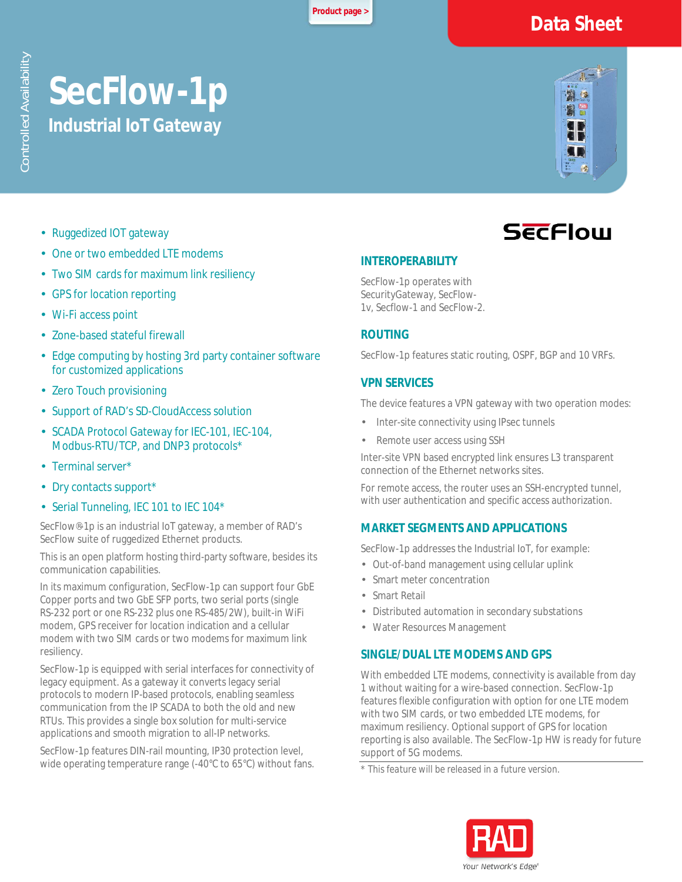**[Product page >](https://www.rad.com/)**

# **Data Sheet**

# **SecFlow-1p Industrial IoT Gateway**



- Ruggedized IOT gateway k,
- One or two embedded LTE modems
- Two SIM cards for maximum link resiliency
- GPS for location reporting
- Wi-Fi access point
- Zone-based stateful firewall
- Edge computing by hosting 3rd party container software for customized applications
- Zero Touch provisioning
- Support of RAD's SD-CloudAccess solution
- SCADA Protocol Gateway for IEC-101, IEC-104, Modbus-RTU/TCP, and DNP3 protocols\*
- Terminal server\*
- Dry contacts support\*
- Serial Tunneling, IEC 101 to IEC 104\*

SecFlow®-1p is an industrial IoT gateway, a member of RAD's SecFlow suite of ruggedized Ethernet products.

This is an open platform hosting third-party software, besides its communication capabilities.

In its maximum configuration, SecFlow-1p can support four GbE Copper ports and two GbE SFP ports, two serial ports (single RS-232 port or one RS-232 plus one RS-485/2W), built-in WiFi modem, GPS receiver for location indication and a cellular modem with two SIM cards or two modems for maximum link resiliency.

SecFlow-1p is equipped with serial interfaces for connectivity of legacy equipment. As a gateway it converts legacy serial protocols to modern IP-based protocols, enabling seamless communication from the IP SCADA to both the old and new RTUs. This provides a single box solution for multi-service applications and smooth migration to all-IP networks.

SecFlow-1p features DIN-rail mounting, IP30 protection level, wide operating temperature range (-40°C to 65°C) without fans.

# **SECFlow**

#### **INTEROPERABILITY**

SecFlow-1p operates with SecurityGateway, SecFlow-1v, Secflow-1 and SecFlow-2.

# **ROUTING**

SecFlow-1p features static routing, OSPF, BGP and 10 VRFs.

# **VPN SERVICES**

The device features a VPN gateway with two operation modes:

- Inter-site connectivity using IPsec tunnels
- Remote user access using SSH

Inter-site VPN based encrypted link ensures L3 transparent connection of the Ethernet networks sites.

For remote access, the router uses an SSH-encrypted tunnel, with user authentication and specific access authorization.

#### **MARKET SEGMENTS AND APPLICATIONS**

SecFlow-1p addresses the Industrial IoT, for example:

- Out-of-band management using cellular uplink
- Smart meter concentration
- Smart Retail
- Distributed automation in secondary substations
- Water Resources Management

#### **SINGLE/DUAL LTE MODEMS AND GPS**

With embedded LTE modems, connectivity is available from day 1 without waiting for a wire-based connection. SecFlow-1p features flexible configuration with option for one LTE modem with two SIM cards, or two embedded LTE modems, for maximum resiliency. Optional support of GPS for location reporting is also available. The SecFlow-1p HW is ready for future support of 5G modems.

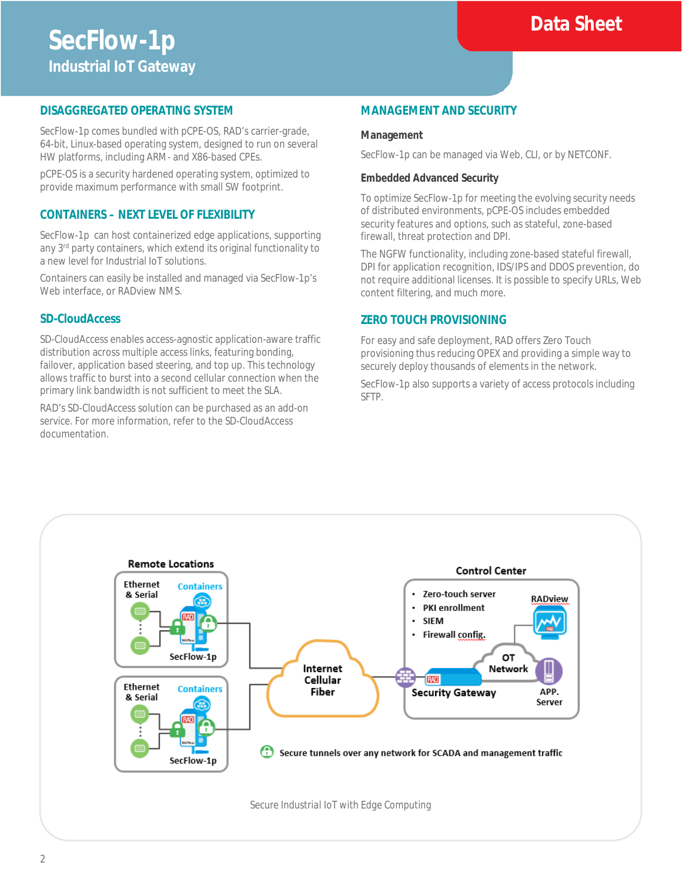# **Data Sheet**

# **DISAGGREGATED OPERATING SYSTEM**

SecFlow-1p comes bundled with pCPE-OS, RAD's carrier-grade, 64-bit, Linux-based operating system, designed to run on several HW platforms, including ARM- and X86-based CPEs.

pCPE-OS is a security hardened operating system, optimized to provide maximum performance with small SW footprint.

#### **CONTAINERS – NEXT LEVEL OF FLEXIBILITY**

SecFlow-1p can host containerized edge applications, supporting any 3<sup>rd</sup> party containers, which extend its original functionality to a new level for Industrial IoT solutions.

Containers can easily be installed and managed via SecFlow-1p's Web interface, or RADview NMS.

### **SD-CloudAccess**

SD-CloudAccess enables access-agnostic application-aware traffic distribution across multiple access links, featuring bonding, failover, application based steering, and top up. This technology allows traffic to burst into a second cellular connection when the primary link bandwidth is not sufficient to meet the SLA.

RAD's SD-CloudAccess solution can be purchased as an add-on service. For more information, refer to the SD-CloudAccess documentation.

#### **MANAGEMENT AND SECURITY**

#### **Management**

SecFlow-1p can be managed via Web, CLI, or by NETCONF.

#### **Embedded Advanced Security**

To optimize SecFlow-1p for meeting the evolving security needs of distributed environments, pCPE-OS includes embedded security features and options, such as stateful, zone-based firewall, threat protection and DPI.

The NGFW functionality, including zone-based stateful firewall, DPI for application recognition, IDS/IPS and DDOS prevention, do not require additional licenses. It is possible to specify URLs, Web content filtering, and much more.

#### **ZERO TOUCH PROVISIONING**

For easy and safe deployment, RAD offers Zero Touch provisioning thus reducing OPEX and providing a simple way to securely deploy thousands of elements in the network.

SecFlow-1p also supports a variety of access protocols including SFTP.



*Secure Industrial IoT with Edge Computing*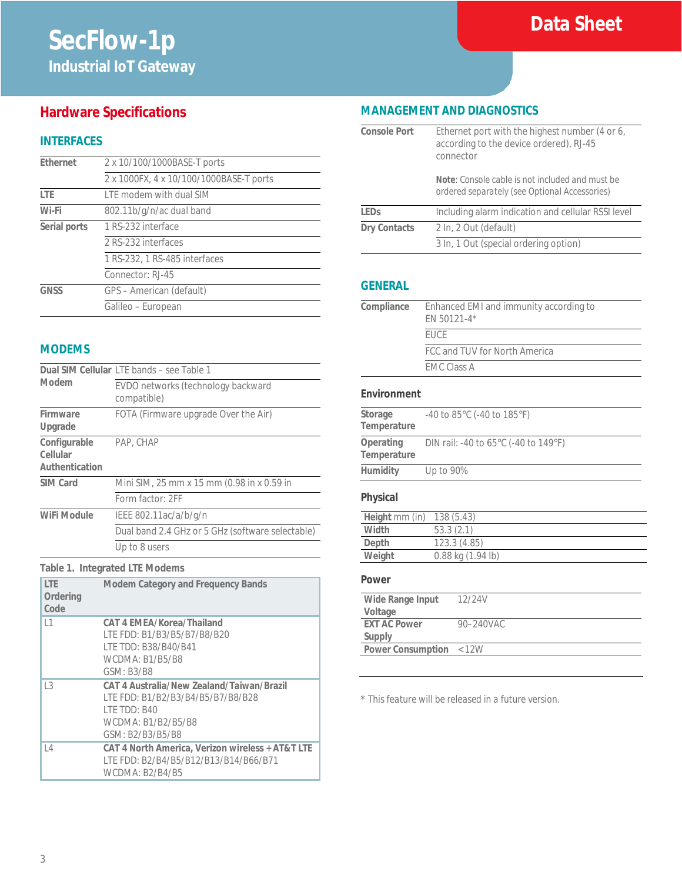# **Hardware Specifications**

# **INTERFACES**

| Ethernet     | 2 x 10/100/1000BASE-T ports             |
|--------------|-----------------------------------------|
|              | 2 x 1000FX, 4 x 10/100/1000BASE-T ports |
| I TF         | LTE modem with dual SIM                 |
| Wi-Fi        | 802.11b/g/n/ac dual band                |
| Serial ports | 1 RS-232 interface                      |
|              | 2 RS-232 interfaces                     |
|              | 1 RS-232, 1 RS-485 interfaces           |
|              | Connector: RJ-45                        |
| GNSS         | GPS - American (default)                |
|              | Galileo - European                      |

### **MODEMS**

|                                            | Dual SIM Cellular LTE bands - see Table 1         |  |
|--------------------------------------------|---------------------------------------------------|--|
| Modem                                      | EVDO networks (technology backward<br>compatible) |  |
| Firmware<br>Upgrade                        | FOTA (Firmware upgrade Over the Air)              |  |
| Configurable<br>Cellular<br>Authentication | PAP, CHAP                                         |  |
| SIM Card                                   | Mini SIM, 25 mm x 15 mm (0.98 in x 0.59 in        |  |
|                                            | Form factor: 2FF                                  |  |
| WiFi Module                                | IEEE 802.11ac/a/b/g/n                             |  |
|                                            | Dual band 2.4 GHz or 5 GHz (software selectable)  |  |
|                                            | Up to 8 users                                     |  |

#### **Table 1. Integrated LTE Modems**

| <b>ITF</b><br>Ordering<br>Code | <b>Modem Category and Frequency Bands</b>                                                                                                        |
|--------------------------------|--------------------------------------------------------------------------------------------------------------------------------------------------|
| 1                              | CAT 4 EMEA/Korea/Thailand<br>LTE FDD: B1/B3/B5/B7/B8/B20<br>I TE TDD: B38/B40/B41<br><b>WCDMA: B1/B5/B8</b><br>GSM: B3/B8                        |
| $\overline{3}$                 | CAT 4 Australia/New Zealand/Taiwan/Brazil<br>LTE FDD: B1/B2/B3/B4/B5/B7/B8/B28<br><b>I TE TDD: B40</b><br>WCDMA: B1/B2/B5/B8<br>GSM: B2/B3/B5/B8 |
| $\vert$ 4                      | CAT 4 North America, Verizon wireless + AT&T LTE<br>LTE FDD: B2/B4/B5/B12/B13/B14/B66/B71<br>WCDMA: B2/B4/B5                                     |

# **MANAGEMENT AND DIAGNOSTICS**

| Console Port        | Ethernet port with the highest number (4 or 6,<br>according to the device ordered), RJ-45<br>connector |
|---------------------|--------------------------------------------------------------------------------------------------------|
|                     | Note: Console cable is not included and must be<br>ordered separately (see Optional Accessories)       |
| I FDs               | Including alarm indication and cellular RSSI level                                                     |
| <b>Dry Contacts</b> | 2 In, 2 Out (default)                                                                                  |
|                     | 3 In, 1 Out (special ordering option)                                                                  |

#### **GENERAL**

| Compliance | Enhanced EMI and immunity according to<br>EN 50121-4* |
|------------|-------------------------------------------------------|
|            | <b>FUCF</b>                                           |
|            | FCC and TUV for North America                         |
|            | <b>EMC Class A</b>                                    |
|            |                                                       |

#### **Environment**

| Storage<br>Temperature   | $-40$ to 85 $\degree$ C ( $-40$ to 185 $\degree$ F)      |
|--------------------------|----------------------------------------------------------|
| Operating<br>Temperature | DIN rail: -40 to 65 $\degree$ C (-40 to 149 $\degree$ F) |
| Humidity                 | Up to 90%                                                |

# **Physical**

| Height mm (in) | 138(5.43)         |
|----------------|-------------------|
|                |                   |
| Width          | 53.3(2.1)         |
| Depth          | 123.3(4.85)       |
| Weight         | 0.88 kg (1.94 lb) |
|                |                   |

#### **Power**

| Wide Range Input        | 12/24V         |
|-------------------------|----------------|
| Voltage                 |                |
| <b>FXT AC Power</b>     | $90 - 240$ VAC |
| Supply                  |                |
| Power Consumption < 12W |                |
|                         |                |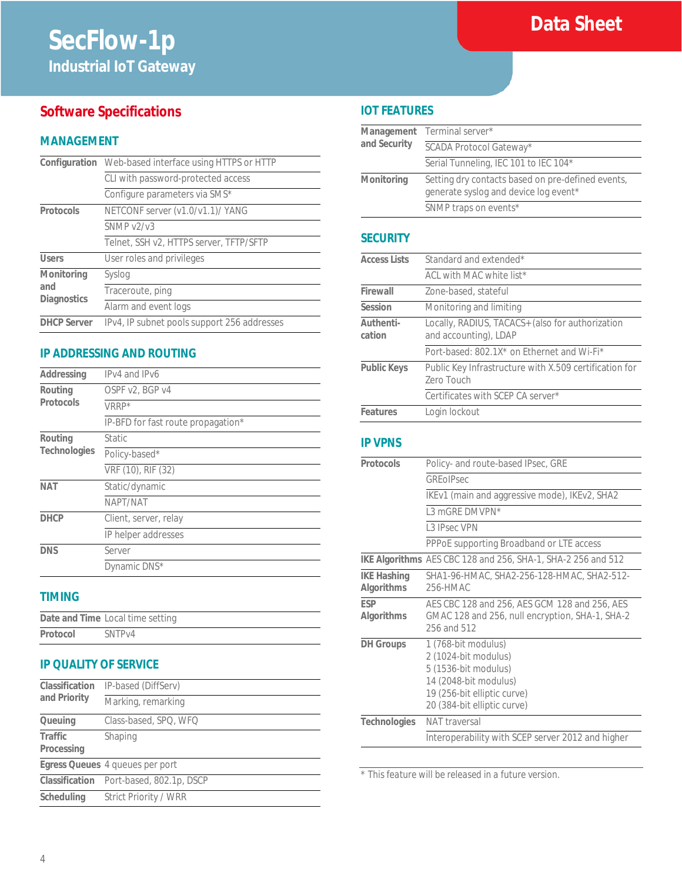# **Software Specifications**

# **MANAGEMENT**

|                                         | Configuration Web-based interface using HTTPS or HTTP |
|-----------------------------------------|-------------------------------------------------------|
|                                         | CLI with password-protected access                    |
|                                         | Configure parameters via SMS*                         |
| Protocols                               | NETCONF server (v1.0/v1.1)/ YANG                      |
|                                         | SNNP v2/v3                                            |
|                                         | Telnet, SSH v2, HTTPS server, TFTP/SFTP               |
| <b>Users</b>                            | User roles and privileges                             |
| Monitoring<br>and<br><b>Diagnostics</b> | Syslog                                                |
|                                         | Traceroute, ping                                      |
|                                         | Alarm and event logs                                  |
| <b>DHCP Server</b>                      | IPv4, IP subnet pools support 256 addresses           |

# **IP ADDRESSING AND ROUTING**

| Addressing           | IPv4 and IPv6                      |
|----------------------|------------------------------------|
| Routing<br>Protocols | OSPF v2, BGP v4                    |
|                      | VRRP*                              |
|                      | IP-BFD for fast route propagation* |
| Routing              | <b>Static</b>                      |
| <b>Technologies</b>  | Policy-based*                      |
|                      | VRF (10), RIF (32)                 |
| <b>NAT</b>           | Static/dynamic                     |
|                      | NAPT/NAT                           |
| <b>DHCP</b>          | Client, server, relay              |
|                      | IP helper addresses                |
| <b>DNS</b>           | Server                             |
|                      | Dynamic DNS*                       |

## **TIMING**

|          | Date and Time Local time setting |
|----------|----------------------------------|
| Protocol | SNTP <sub>V4</sub>               |

# **IP QUALITY OF SERVICE**

| Classification<br>and Priority | IP-based (DiffServ)                     |
|--------------------------------|-----------------------------------------|
|                                | Marking, remarking                      |
| Queuing                        | Class-based, SPQ, WFQ                   |
| Traffic<br>Processing          | Shaping                                 |
|                                | Egress Queues 4 queues per port         |
|                                | Classification Port-based, 802.1p, DSCP |
| Scheduling                     | Strict Priority / WRR                   |

# **IOT FEATURES**

| and Security | Management Terminal server*                                                                |
|--------------|--------------------------------------------------------------------------------------------|
|              | SCADA Protocol Gateway*                                                                    |
|              | Serial Tunneling, IEC 101 to IEC 104*                                                      |
| Monitoring   | Setting dry contacts based on pre-defined events,<br>generate syslog and device log event* |
|              | SNMP traps on events*                                                                      |
|              |                                                                                            |

**Data Sheet**

### **SECURITY**

| <b>Access Lists</b> | Standard and extended*                                                    |  |
|---------------------|---------------------------------------------------------------------------|--|
|                     | ACL with MAC white list*                                                  |  |
| Firewall            | Zone-based, stateful                                                      |  |
| Session             | Monitoring and limiting                                                   |  |
| Authenti-<br>cation | Locally, RADIUS, TACACS+ (also for authorization<br>and accounting), LDAP |  |
|                     | Port-based: 802.1X* on Ethernet and Wi-Fi*                                |  |
| <b>Public Keys</b>  | Public Key Infrastructure with X.509 certification for<br>Zero Touch      |  |
|                     | Certificates with SCEP CA server*                                         |  |
| Features            | Login lockout                                                             |  |

### **IP VPNS**

| Protocols                        | Policy- and route-based IPsec, GRE                                                                                                                         |  |
|----------------------------------|------------------------------------------------------------------------------------------------------------------------------------------------------------|--|
|                                  | <b>GREOIPSec</b>                                                                                                                                           |  |
|                                  | IKEv1 (main and aggressive mode), IKEv2, SHA2                                                                                                              |  |
|                                  | 1.3 mGRF DMVPN*                                                                                                                                            |  |
|                                  | 13 IPsec VPN                                                                                                                                               |  |
|                                  | PPPoE supporting Broadband or LTE access                                                                                                                   |  |
|                                  | IKE Algorithms AES CBC 128 and 256, SHA-1, SHA-2 256 and 512                                                                                               |  |
| <b>IKE Hashing</b><br>Algorithms | SHA1-96-HMAC, SHA2-256-128-HMAC, SHA2-512-<br>256-HMAC                                                                                                     |  |
| <b>FSP</b><br>Algorithms         | AES CBC 128 and 256, AES GCM 128 and 256, AES<br>GMAC 128 and 256, null encryption, SHA-1, SHA-2<br>256 and 512                                            |  |
| <b>DH</b> Groups                 | 1 (768-bit modulus)<br>2 (1024-bit modulus)<br>5 (1536-bit modulus)<br>14 (2048-bit modulus)<br>19 (256-bit elliptic curve)<br>20 (384-bit elliptic curve) |  |
| <b>Technologies</b>              | NAT traversal                                                                                                                                              |  |
|                                  | Interoperability with SCEP server 2012 and higher                                                                                                          |  |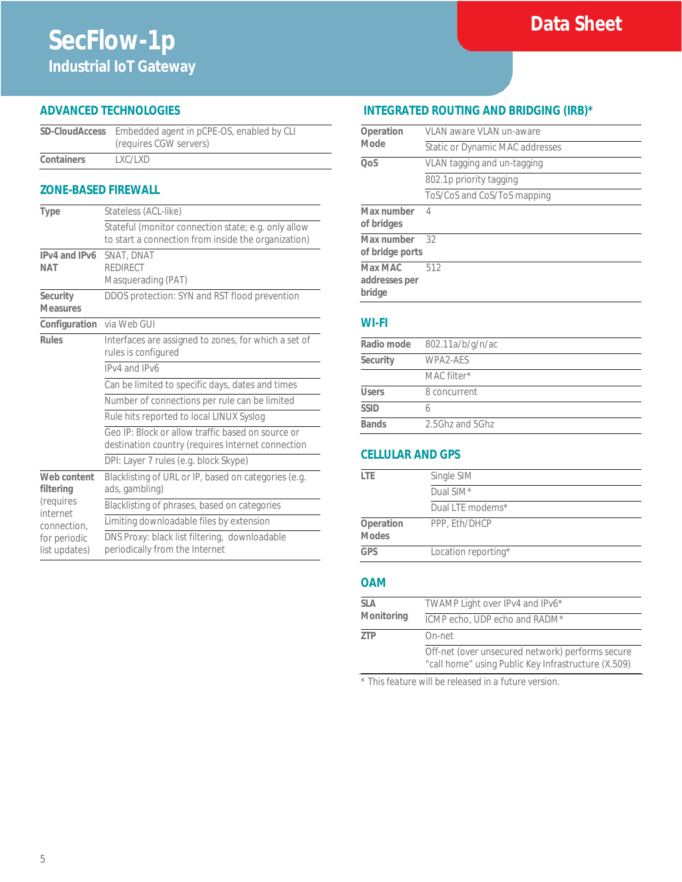# **ADVANCED TECHNOLOGIES**

|            | SD-CloudAccess Embedded agent in pCPE-OS, enabled by CLI<br>(requires CGW servers) |
|------------|------------------------------------------------------------------------------------|
| Containers | LXC/LXD                                                                            |

## **ZONE-BASED FIREWALL**

| Type                                                             | Stateless (ACL-like)                                                                                       |  |
|------------------------------------------------------------------|------------------------------------------------------------------------------------------------------------|--|
|                                                                  | Stateful (monitor connection state; e.g. only allow<br>to start a connection from inside the organization) |  |
| IPv4 and IPv6<br><b>NAT</b>                                      | <b>SNAT, DNAT</b><br><b>REDIRECT</b><br>Masquerading (PAT)                                                 |  |
| Security<br><b>Measures</b>                                      | DDOS protection: SYN and RST flood prevention                                                              |  |
| Configuration via Web GUI                                        |                                                                                                            |  |
| <b>Rules</b>                                                     | Interfaces are assigned to zones, for which a set of<br>rules is configured                                |  |
|                                                                  | IPv4 and IPv6                                                                                              |  |
|                                                                  | Can be limited to specific days, dates and times                                                           |  |
|                                                                  | Number of connections per rule can be limited                                                              |  |
|                                                                  | Rule hits reported to local LINUX Syslog                                                                   |  |
|                                                                  | Geo IP: Block or allow traffic based on source or<br>destination country (requires Internet connection     |  |
|                                                                  | DPI: Layer 7 rules (e.g. block Skype)                                                                      |  |
| Web content<br>filtering<br>(requires<br>internet<br>connection. | Blacklisting of URL or IP, based on categories (e.g.<br>ads, gambling)                                     |  |
|                                                                  | Blacklisting of phrases, based on categories                                                               |  |
|                                                                  | Limiting downloadable files by extension                                                                   |  |
| for periodic<br>list updates)                                    | DNS Proxy: black list filtering, downloadable<br>periodically from the Internet                            |  |

# **INTEGRATED ROUTING AND BRIDGING (IRB)\***

**Data Sheet**

| Operation<br>Mode                  | VLAN aware VLAN un-aware        |
|------------------------------------|---------------------------------|
|                                    | Static or Dynamic MAC addresses |
| <b>OoS</b>                         | VLAN tagging and un-tagging     |
|                                    | 802.1p priority tagging         |
|                                    | ToS/CoS and CoS/ToS mapping     |
| Max number<br>of bridges           | 4                               |
| Max number<br>of bridge ports      | 32                              |
| Max MAC<br>addresses per<br>bridge | 512                             |

#### **WI-FI**

| Radio mode   | 802.11a/b/g/n/ac |  |
|--------------|------------------|--|
| Security     | WPA2-AFS         |  |
|              | MAC filter*      |  |
| <b>Users</b> | 8 concurrent     |  |
| <b>SSID</b>  |                  |  |
| <b>Bands</b> | 2.5Ghz and 5Ghz  |  |

#### **CELLULAR AND GPS**

| l TF                      | Single SIM          |
|---------------------------|---------------------|
|                           | Dual SIM*           |
|                           | Dual LTE modems*    |
| Operation<br><b>Modes</b> | PPP, Eth/DHCP       |
| GPS                       | Location reporting* |

# **OAM**

| SLA        | TWAMP Light over IPv4 and IPv6*                                                                         |
|------------|---------------------------------------------------------------------------------------------------------|
| Monitoring | ICMP echo, UDP echo and RADM*                                                                           |
| ZTP        | On-net                                                                                                  |
|            | Off-net (over unsecured network) performs secure<br>"call home" using Public Key Infrastructure (X.509) |